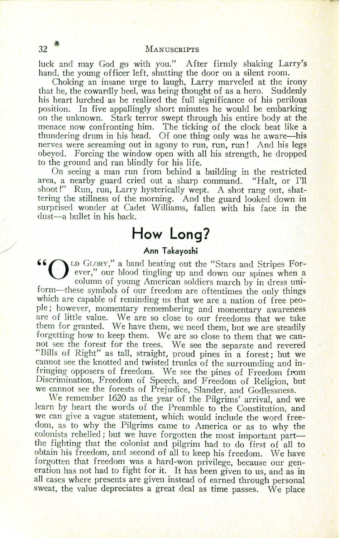luck and may God go with you." After firmly shaking Larry's hand, the young officer left, shutting the door on a silent room:

Choking an insane urge to laugh, Larry marveled at the irony that he, the cowardly heel, was being thought of as a hero. Suddenly his heart lurched as he realized the full significance of his perilous position. In five appallingly short minutes he would be embarking on the unknown. Stark terror swept through his entire body at the menace now confronting him. The ticking of the clock beat like a thundering drum in his head. Of one thing only was he aware-his nerves were screaming out in agony to run, run, run! And his legs obeyed. Forcing the window open with all his strength, he dropped to the ground and ran blindly for his life.

On seeing a man run from behind a building in the restricted area, a nearby guard cried out a sharp command. "Halt, or I'll shoot!" Run, run, Larry hysterically wept. A shot rang out, shattering the stillness of the morning. And the guard looked down in surprised wonder at Cadet Williams, fallen with his face in the dust-a bullet in his back.

## **How Long!**

**Ann Takayoshi**<br>
Dup GLORY," a band beating out the "Stars and Stripes For-<br>
ever." our blood tingling up and down our spines what ever," our blood tingling up and down our spines when a column of young American soldiers march by in dress uniform-these symbols of our freedom are oftentimes the only things which are capable of reminding us that we are a nation of free people; however, momentary remembering and momentary awareness are of little value. We are so close to our freedoms that we take them for granted. We have them, we need them, but we are steadily forgetting how to keep them. We are so close to them that we cannot see the forest for the trees. We see the separate and revered "Bills of Right" as tall, straight, proud pines in a forest; but we cannot see the knotted and twisted trunks of the surrounding and infringing opposers of freedom. We see the pines of Freedom from Discrimination, Freedom of Speech, and Freedom of Religion, but we cannot see the forests of Prejudice, Slander, and Godlessness.

We remember 1620 as the year of the Pilgrims' arrival, and we learn by heart the words of the Preamble to the Constitution, and we can give a vague statement, which would include the word freedom, as to why the Pilgrims came to America or as to why the colonists rebelled; but we have forgotten the most important partthe fighting that the colonist and pilgrim had to do first of all to obtain his freedom, and second of all to keep his freedom. We have forgotten that freedom was a hard-won privilege, because our generation has not had to fight for it. It has been given to us, and as in all cases where presents are given instead of earned through personal sweat, the value depreciates a great deal as time passes. We place

**/**<br>/